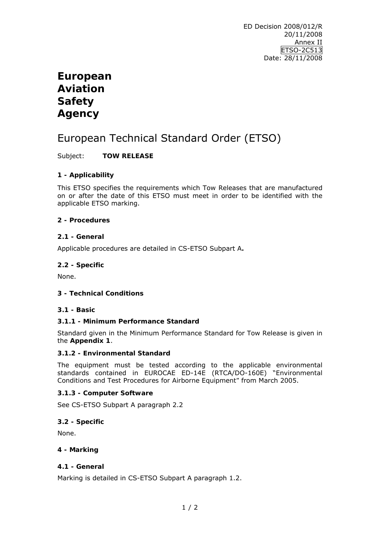# **European Aviation Safety Agency**

# European Technical Standard Order (ETSO)

Subject: **TOW RELEASE** 

# **1 - Applicability**

This ETSO specifies the requirements which Tow Releases that are manufactured on or after the date of this ETSO must meet in order to be identified with the applicable ETSO marking.

## **2 - Procedures**

## **2.1 - General**

Applicable procedures are detailed in CS-ETSO Subpart A**.** 

## **2.2 - Specific**

None.

# **3 - Technical Conditions**

#### **3.1 - Basic**

# **3.1.1 - Minimum Performance Standard**

Standard given in the Minimum Performance Standard for Tow Release is given in the **Appendix 1**.

#### **3.1.2 - Environmental Standard**

The equipment must be tested according to the applicable environmental standards contained in EUROCAE ED-14E (RTCA/DO-160E) "*Environmental Conditions and Test Procedures for Airborne Equipment"* from March 2005.

#### **3.1.3 - Computer Software**

See CS-ETSO Subpart A paragraph 2.2

#### **3.2 - Specific**

None.

#### **4 - Marking**

#### **4.1 - General**

Marking is detailed in CS-ETSO Subpart A paragraph 1.2.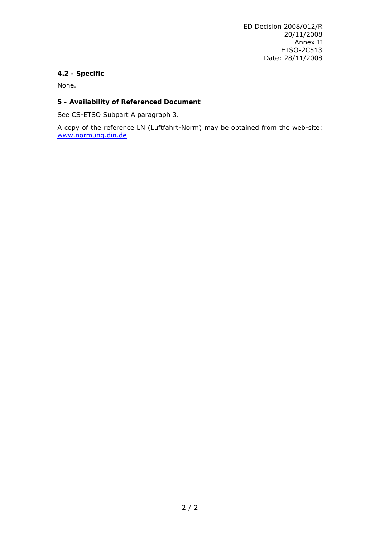# **4.2 - Specific**

None.

# **5 - Availability of Referenced Document**

See CS-ETSO Subpart A paragraph 3.

A copy of the reference LN (Luftfahrt-Norm) may be obtained from the web-site: [www.normung.din.de](http://www.normung.din.de/)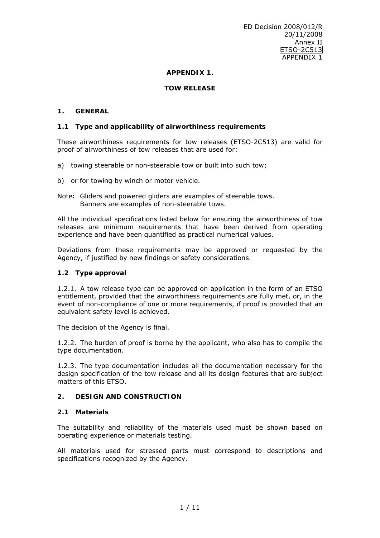## **APPENDIX 1.**

## **TOW RELEASE**

#### **1. GENERAL**

#### **1.1 Type and applicability of airworthiness requirements**

These airworthiness requirements for tow releases (ETSO-2C513) are valid for proof of airworthiness of tow releases that are used for:

- a) towing steerable or non-steerable tow or built into such tow;
- b) or for towing by winch or motor vehicle.
- *Note***:** Gliders and powered gliders are examples of steerable tows. Banners are examples of non-steerable tows.

All the individual specifications listed below for ensuring the airworthiness of tow releases are minimum requirements that have been derived from operating experience and have been quantified as practical numerical values.

Deviations from these requirements may be approved or requested by the Agency, if justified by new findings or safety considerations.

#### **1.2 Type approval**

1.2.1. A tow release type can be approved on application in the form of an ETSO entitlement, provided that the airworthiness requirements are fully met, or, in the event of non-compliance of one or more requirements, if proof is provided that an equivalent safety level is achieved.

The decision of the Agency is final.

1.2.2. The burden of proof is borne by the applicant, who also has to compile the type documentation.

1.2.3. The type documentation includes all the documentation necessary for the design specification of the tow release and all its design features that are subject matters of this ETSO.

#### **2. DESIGN AND CONSTRUCTION**

#### **2.1 Materials**

The suitability and reliability of the materials used must be shown based on operating experience or materials testing.

All materials used for stressed parts must correspond to descriptions and specifications recognized by the Agency.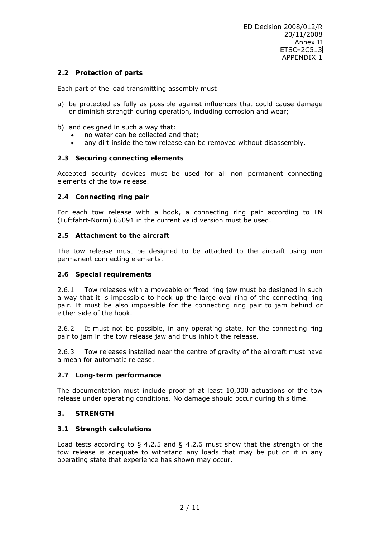## **2.2 Protection of parts**

Each part of the load transmitting assembly must

- a) be protected as fully as possible against influences that could cause damage or diminish strength during operation, including corrosion and wear;
- b) and designed in such a way that:
	- no water can be collected and that;
	- any dirt inside the tow release can be removed without disassembly.

#### **2.3 Securing connecting elements**

Accepted security devices must be used for all non permanent connecting elements of the tow release.

#### **2.4 Connecting ring pair**

For each tow release with a hook, a connecting ring pair according to LN (Luftfahrt-Norm) 65091 in the current valid version must be used.

#### **2.5 Attachment to the aircraft**

The tow release must be designed to be attached to the aircraft using non permanent connecting elements.

#### **2.6 Special requirements**

2.6.1 Tow releases with a moveable or fixed ring jaw must be designed in such a way that it is impossible to hook up the large oval ring of the connecting ring pair. It must be also impossible for the connecting ring pair to jam behind or either side of the hook.

2.6.2 It must not be possible, in any operating state, for the connecting ring pair to jam in the tow release jaw and thus inhibit the release.

2.6.3 Tow releases installed near the centre of gravity of the aircraft must have a mean for automatic release.

#### **2.7 Long-term performance**

The documentation must include proof of at least 10,000 actuations of the tow release under operating conditions. No damage should occur during this time.

#### **3. STRENGTH**

#### **3.1 Strength calculations**

Load tests according to  $\S$  4.2.5 and  $\S$  4.2.6 must show that the strength of the tow release is adequate to withstand any loads that may be put on it in any operating state that experience has shown may occur.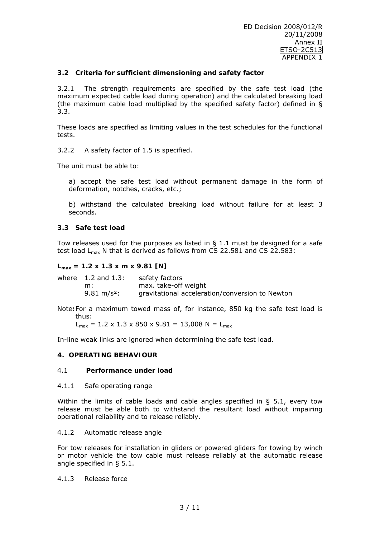## **3.2 Criteria for sufficient dimensioning and safety factor**

3.2.1 The strength requirements are specified by the safe test load (the maximum expected cable load during operation) and the calculated breaking load (the maximum cable load multiplied by the specified safety factor) defined in § 3.3.

These loads are specified as limiting values in the test schedules for the functional tests.

3.2.2 A safety factor of 1.5 is specified.

The unit must be able to:

a) accept the safe test load without permanent damage in the form of deformation, notches, cracks, etc.;

b) withstand the calculated breaking load without failure for at least 3 seconds.

#### **3.3 Safe test load**

Tow releases used for the purposes as listed in  $\S$  1.1 must be designed for a safe test load  $L_{\text{max}}$  N that is derived as follows from CS 22.581 and CS 22.583:

#### **Lmax = 1.2 x 1.3 x m x 9.81 [N]**

| where 1.2 and 1.3:     | safety factors                                  |
|------------------------|-------------------------------------------------|
| m:                     | max. take-off weight                            |
| $9.81 \text{ m/s}^2$ : | gravitational acceleration/conversion to Newton |

*Note***:** For a maximum towed mass of, for instance, 850 kg the safe test load is thus:

 $L_{max}$  = 1.2 x 1.3 x 850 x 9.81 = 13,008 N =  $L_{max}$ 

In-line weak links are ignored when determining the safe test load.

## **4. OPERATING BEHAVIOUR**

#### 4.1 **Performance under load**

#### 4.1.1 Safe operating range

Within the limits of cable loads and cable angles specified in § 5.1, every tow release must be able both to withstand the resultant load without impairing operational reliability and to release reliably.

#### 4.1.2 Automatic release angle

For tow releases for installation in gliders or powered gliders for towing by winch or motor vehicle the tow cable must release reliably at the automatic release angle specified in § 5.1.

#### 4.1.3 Release force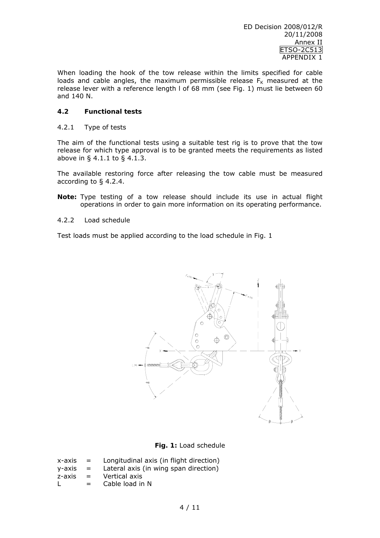When loading the hook of the tow release within the limits specified for cable loads and cable angles, the maximum permissible release  $F_K$  measured at the release lever with a reference length l of 68 mm (see Fig. 1) must lie between 60 and 140 N.

## **4.2 Functional tests**

#### 4.2.1 Type of tests

The aim of the functional tests using a suitable test rig is to prove that the tow release for which type approval is to be granted meets the requirements as listed above in § 4.1.1 to § 4.1.3.

The available restoring force after releasing the tow cable must be measured according to § 4.2.4.

- **Note:** Type testing of a tow release should include its use in actual flight operations in order to gain more information on its operating performance.
- 4.2.2 Load schedule

Test loads must be applied according to the load schedule in Fig. 1



**Fig. 1:** Load schedule

| x-axis | $\mathbf{r} = \mathbf{r}$ | Longitudinal axis (in flight direction) |
|--------|---------------------------|-----------------------------------------|
| v-axis | $\mathbf{r} = \mathbf{r}$ | Lateral axis (in wing span direction)   |
| z-axis | $=$                       | Vertical axis                           |
|        | $=$ $\blacksquare$        | Cable load in N                         |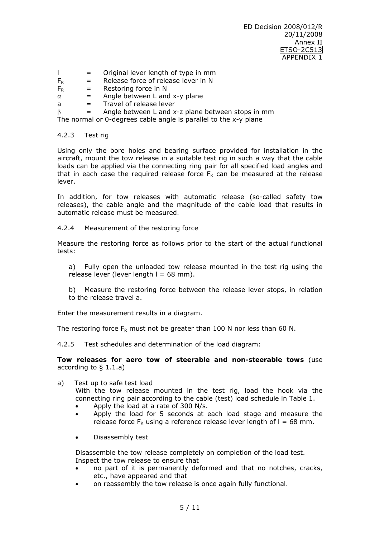ED Decision 2008/012/R 20/11/2008 Annex II ETSO-2C513 APPENDIX 1

- $\vert$  = Original lever length of type in mm
- $F_K$  = Release force of release lever in N
- $F_R$  = Restoring force in N
- $\alpha$  = Angle between L and x-y plane
- $a =$ Travel of release lever

 $\beta$  = Angle between L and x-z plane between stops in mm

The normal or 0-degrees cable angle is parallel to the x-y plane

4.2.3 Test rig

Using only the bore holes and bearing surface provided for installation in the aircraft, mount the tow release in a suitable test rig in such a way that the cable loads can be applied via the connecting ring pair for all specified load angles and that in each case the required release force  $F_K$  can be measured at the release lever.

In addition, for tow releases with automatic release (so-called safety tow releases), the cable angle and the magnitude of the cable load that results in automatic release must be measured.

4.2.4 Measurement of the restoring force

Measure the restoring force as follows prior to the start of the actual functional tests:

- a) Fully open the unloaded tow release mounted in the test rig using the release lever (lever length  $l = 68$  mm).
- b) Measure the restoring force between the release lever stops, in relation to the release travel a.

Enter the measurement results in a diagram.

The restoring force  $F_R$  must not be greater than 100 N nor less than 60 N.

4.2.5 Test schedules and determination of the load diagram:

**Tow releases for aero tow of steerable and non-steerable tows** (use according to § 1.1.a)

a) Test up to safe test load

With the tow release mounted in the test rig, load the hook via the connecting ring pair according to the cable (test) load schedule in Table 1.

- Apply the load at a rate of 300 N/s.
- Apply the load for 5 seconds at each load stage and measure the release force  $F_K$  using a reference release lever length of  $I = 68$  mm.
- Disassembly test

Disassemble the tow release completely on completion of the load test. Inspect the tow release to ensure that

- no part of it is permanently deformed and that no notches, cracks, etc., have appeared and that
- on reassembly the tow release is once again fully functional.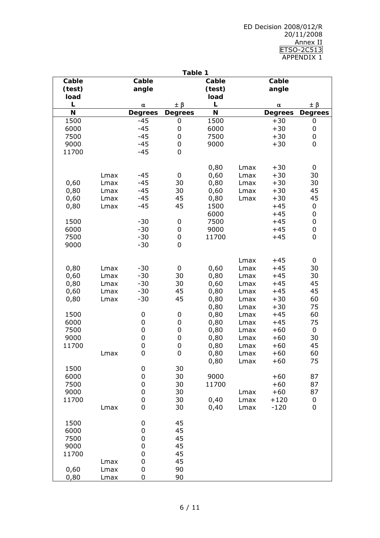ED Decision 2008/012/R 20/11/2008 Annex II ETSO-2C513 APPENDIX 1

|        |      |                  | Table 1          |        |      |                |                  |
|--------|------|------------------|------------------|--------|------|----------------|------------------|
| Cable  |      | Cable            |                  | Cable  |      | Cable          |                  |
| (test) |      | angle            |                  | (test) |      | angle          |                  |
| load   |      |                  |                  | load   |      |                |                  |
| L      |      | $\pmb{\alpha}$   | $\pm \beta$      | L      |      | $\pmb{\alpha}$ | $\pm \beta$      |
| N      |      | <b>Degrees</b>   | <b>Degrees</b>   | N      |      | <b>Degrees</b> | <b>Degrees</b>   |
| 1500   |      | $-45$            | $\pmb{0}$        | 1500   |      | $+30$          | $\pmb{0}$        |
| 6000   |      | $-45$            | $\pmb{0}$        | 6000   |      | $+30$          | 0                |
| 7500   |      | $-45$            | $\pmb{0}$        | 7500   |      | $+30$          | 0                |
| 9000   |      | $-45$            | $\pmb{0}$        | 9000   |      | $+30$          | 0                |
| 11700  |      | $-45$            | 0                |        |      |                |                  |
|        |      |                  |                  |        |      |                |                  |
|        |      |                  |                  | 0,80   | Lmax | $+30$          | 0                |
|        | Lmax | $-45$            | $\pmb{0}$        | 0,60   | Lmax | $+30$          | 30               |
| 0,60   | Lmax | $-45$            | 30               | 0,80   | Lmax | $+30$          | 30               |
| 0,80   | Lmax | $-45$            | 30               | 0,60   | Lmax | $+30$          | 45               |
| 0,60   | Lmax | $-45$            | 45               | 0,80   | Lmax | $+30$          | 45               |
| 0,80   | Lmax | $-45$            | 45               | 1500   |      | $+45$          | $\pmb{0}$        |
|        |      |                  |                  | 6000   |      | $+45$          | $\pmb{0}$        |
| 1500   |      | $-30$            | $\pmb{0}$        | 7500   |      | $+45$          | $\pmb{0}$        |
| 6000   |      | $-30$            | $\pmb{0}$        | 9000   |      | $+45$          | $\boldsymbol{0}$ |
| 7500   |      | $-30$            | $\pmb{0}$        | 11700  |      | $+45$          | $\boldsymbol{0}$ |
| 9000   |      | $-30$            | 0                |        |      |                |                  |
|        |      |                  |                  |        | Lmax | $+45$          | 0                |
| 0,80   | Lmax | $-30$            | 0                | 0,60   | Lmax | $+45$          | 30               |
| 0,60   | Lmax | $-30$            | 30               | 0,80   | Lmax | $+45$          | 30               |
| 0,80   | Lmax | $-30$            | 30               | 0,60   | Lmax | $+45$          | 45               |
| 0,60   | Lmax | $-30$            | 45               | 0,80   | Lmax | $+45$          | 45               |
| 0,80   | Lmax | $-30$            | 45               | 0,80   | Lmax | $+30$          | 60               |
|        |      |                  |                  | 0,80   | Lmax | $+30$          | 75               |
| 1500   |      | 0                | $\boldsymbol{0}$ | 0,80   | Lmax | $+45$          | 60               |
| 6000   |      | 0                | $\pmb{0}$        | 0,80   | Lmax | $+45$          | 75               |
| 7500   |      | 0                | $\pmb{0}$        | 0,80   | Lmax | $+60$          | 0                |
| 9000   |      | 0                | $\pmb{0}$        | 0,80   | Lmax | $+60$          | 30               |
| 11700  |      | $\boldsymbol{0}$ | $\pmb{0}$        | 0,80   | Lmax | $+60$          | 45               |
|        | Lmax | 0                | 0                | 0,80   | Lmax | $+60$          | 60               |
|        |      |                  |                  | 0,80   | Lmax | $+60$          | 75               |
| 1500   |      | 0                | 30               |        |      |                |                  |
| 6000   |      | 0                | 30               | 9000   |      | $+60$          | 87               |
| 7500   |      | 0                | 30               | 11700  |      | $+60$          | 87               |
| 9000   |      | 0                | 30               |        | Lmax | $+60$          | 87               |
| 11700  |      | 0                | 30               | 0,40   | Lmax | $+120$         | $\boldsymbol{0}$ |
|        | Lmax | 0                | 30               | 0,40   | Lmax | $-120$         | 0                |
|        |      |                  |                  |        |      |                |                  |
| 1500   |      | 0                | 45               |        |      |                |                  |
| 6000   |      | 0                | 45               |        |      |                |                  |
| 7500   |      | 0                | 45               |        |      |                |                  |
| 9000   |      | 0                | 45               |        |      |                |                  |
| 11700  |      | 0                | 45               |        |      |                |                  |
|        | Lmax | 0                | 45               |        |      |                |                  |
| 0,60   | Lmax | 0                | 90               |        |      |                |                  |
| 0,80   | Lmax | 0                | 90               |        |      |                |                  |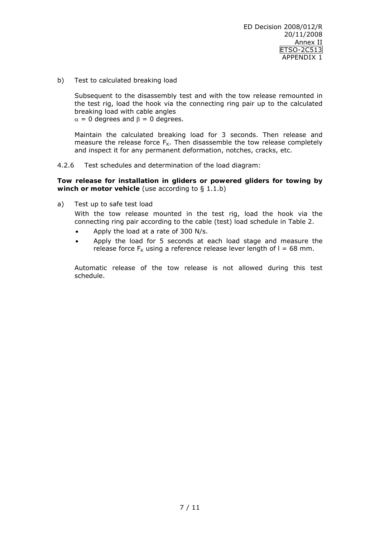b) Test to calculated breaking load

Subsequent to the disassembly test and with the tow release remounted in the test rig, load the hook via the connecting ring pair up to the calculated breaking load with cable angles

 $\alpha = 0$  degrees and  $\beta = 0$  degrees.

Maintain the calculated breaking load for 3 seconds. Then release and measure the release force  $F_K$ . Then disassemble the tow release completely and inspect it for any permanent deformation, notches, cracks, etc.

4.2.6 Test schedules and determination of the load diagram:

## **Tow release for installation in gliders or powered gliders for towing by winch or motor vehicle** (use according to § 1.1.b)

a) Test up to safe test load

With the tow release mounted in the test rig, load the hook via the connecting ring pair according to the cable (test) load schedule in Table 2.

- Apply the load at a rate of 300 N/s.
- Apply the load for 5 seconds at each load stage and measure the release force  $F_k$  using a reference release lever length of  $l = 68$  mm.

Automatic release of the tow release is not allowed during this test schedule.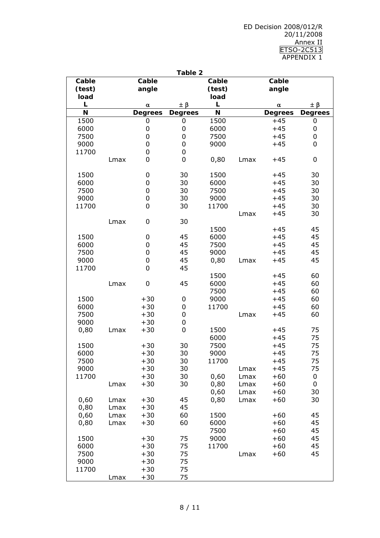ED Decision 2008/012/R 20/11/2008 Annex II ETSO-2C513 APPENDIX 1

|               |      |                | Table 2          |        |      |                |                |
|---------------|------|----------------|------------------|--------|------|----------------|----------------|
| Cable         |      | Cable          |                  | Cable  |      | Cable          |                |
| (test)        |      | angle          |                  | (test) |      | angle          |                |
| load          |      |                |                  | load   |      |                |                |
| L             |      | $\pmb{\alpha}$ | ±β               | L      |      | $\pmb{\alpha}$ | $\pm \beta$    |
| N             |      | <b>Degrees</b> | <b>Degrees</b>   | N      |      | <b>Degrees</b> | <b>Degrees</b> |
| 1500          |      | 0              | 0                | 1500   |      | $+45$          | 0              |
| 6000          |      | 0              | 0                | 6000   |      | $+45$          | 0              |
| 7500          |      | 0              | $\pmb{0}$        | 7500   |      | $+45$          | 0              |
| 9000          |      | 0              | 0                | 9000   |      | $+45$          | 0              |
| 11700         |      | 0              | $\pmb{0}$        |        |      |                |                |
|               | Lmax | 0              | $\boldsymbol{0}$ | 0,80   | Lmax | $+45$          | 0              |
|               |      |                |                  |        |      |                |                |
| 1500          |      | 0              | 30               | 1500   |      | $+45$          | 30             |
| 6000          |      | 0              | 30               | 6000   |      | $+45$          | 30             |
| 7500          |      | 0              | 30               | 7500   |      | $+45$          | 30             |
| 9000<br>11700 |      | 0<br>0         | 30               | 9000   |      | $+45$          | 30             |
|               |      |                | 30               | 11700  |      | $+45$          | 30             |
|               | Lmax | 0              | 30               |        | Lmax | $+45$          | 30             |
|               |      |                |                  | 1500   |      | $+45$          | 45             |
| 1500          |      | 0              | 45               | 6000   |      | $+45$          | 45             |
| 6000          |      | 0              | 45               | 7500   |      | $+45$          | 45             |
| 7500          |      | 0              | 45               | 9000   |      | $+45$          | 45             |
| 9000          |      | 0              | 45               | 0,80   | Lmax | $+45$          | 45             |
| 11700         |      | 0              | 45               |        |      |                |                |
|               |      |                |                  | 1500   |      | $+45$          | 60             |
|               | Lmax | 0              | 45               | 6000   |      | $+45$          | 60             |
|               |      |                |                  | 7500   |      | $+45$          | 60             |
| 1500          |      | $+30$          | $\mathbf 0$      | 9000   |      | $+45$          | 60             |
| 6000          |      | $+30$          | 0                | 11700  |      | $+45$          | 60             |
| 7500          |      | $+30$          | $\boldsymbol{0}$ |        | Lmax | $+45$          | 60             |
| 9000          |      | $+30$          | $\boldsymbol{0}$ |        |      |                |                |
| 0,80          | Lmax | $+30$          | $\mathbf 0$      | 1500   |      | $+45$          | 75             |
|               |      |                |                  | 6000   |      | $+45$          | 75             |
| 1500          |      | $+30$          | 30               | 7500   |      | $+45$          | 75             |
| 6000          |      | $+30$          | 30               | 9000   |      | $+45$          | 75             |
| 7500          |      | $+30$          | 30               | 11700  |      | $+45$          | 75             |
| 9000          |      | $+30$          | 30               |        | Lmax | $+45$          | 75             |
| 11700         |      | $+30$          | 30               | 0,60   | Lmax | $+60$          | 0              |
|               | Lmax | $+30$          | 30               | 0,80   | Lmax | $+60$          | 0              |
|               |      |                |                  | 0,60   | Lmax | $+60$          | 30             |
| 0,60          | Lmax | $+30$          | 45               | 0,80   | Lmax | $+60$          | 30             |
| 0,80          | Lmax | $+30$          | 45               |        |      |                |                |
| 0,60          | Lmax | $+30$          | 60               | 1500   |      | $+60$          | 45             |
| 0,80          | Lmax | $+30$          | 60               | 6000   |      | $+60$          | 45             |
|               |      |                |                  | 7500   |      | $+60$          | 45             |
| 1500          |      | $+30$          | 75               | 9000   |      | $+60$          | 45             |
| 6000          |      | $+30$          | 75               | 11700  |      | $+60$          | 45             |
| 7500          |      | $+30$          | 75               |        | Lmax | $+60$          | 45             |
| 9000          |      | $+30$          | 75               |        |      |                |                |
| 11700         |      | $+30$          | 75               |        |      |                |                |
|               | Lmax | $+30$          | 75               |        |      |                |                |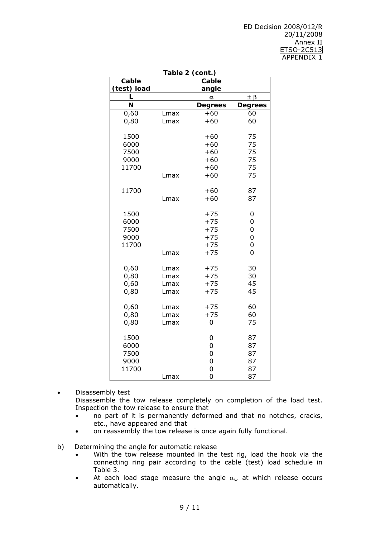| Table 2 (cont.) |      |                |                |  |
|-----------------|------|----------------|----------------|--|
| Cable<br>Cable  |      |                |                |  |
| (test) load     |      | angle          |                |  |
| L               |      | α              | $\pm \beta$    |  |
| N               |      | <b>Degrees</b> | <b>Degrees</b> |  |
| 0,60            | Lmax | $+60$          | 60             |  |
| 0,80            | Lmax | $+60$          | 60             |  |
| 1500            |      | $+60$          | 75             |  |
| 6000            |      | $+60$          | 75             |  |
| 7500            |      | $+60$          | 75             |  |
| 9000            |      | $+60$          | 75             |  |
| 11700           |      | $+60$          | 75             |  |
|                 | Lmax | $+60$          | 75             |  |
| 11700           |      | $+60$          | 87             |  |
|                 | Lmax | $+60$          | 87             |  |
| 1500            |      | $+75$          | 0              |  |
| 6000            |      | $+75$          | 0              |  |
| 7500            |      | $+75$          | 0              |  |
| 9000            |      | $+75$          | 0              |  |
| 11700           |      | $+75$          | 0              |  |
|                 | Lmax | $+75$          | 0              |  |
| 0,60            | Lmax | $+75$          | 30             |  |
| 0,80            | Lmax | $+75$          | 30             |  |
| 0,60            | Lmax | $+75$          | 45             |  |
| 0,80            | Lmax | $+75$          | 45             |  |
| 0,60            | Lmax | $+75$          | 60             |  |
| 0,80            | Lmax | $+75$          | 60             |  |
| 0,80            | Lmax | 0              | 75             |  |
| 1500            |      | 0              | 87             |  |
| 6000            |      | 0              | 87             |  |
| 7500            |      | 0              | 87             |  |
| 9000            |      | 0              | 87             |  |
| 11700           |      | 0              | 87             |  |
|                 | Lmax | 0              | 87             |  |

• Disassembly test Disassemble the tow release completely on completion of the load test. Inspection the tow release to ensure that

- no part of it is permanently deformed and that no notches, cracks, etc., have appeared and that
- on reassembly the tow release is once again fully functional.

b) Determining the angle for automatic release

- With the tow release mounted in the test rig, load the hook via the connecting ring pair according to the cable (test) load schedule in Table 3.
- At each load stage measure the angle  $\alpha_{s}$ , at which release occurs automatically.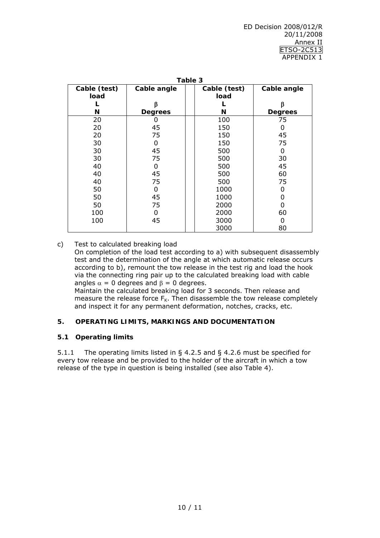| Table 3                     |                |  |              |                |  |
|-----------------------------|----------------|--|--------------|----------------|--|
| Cable (test)<br>Cable angle |                |  | Cable (test) | Cable angle    |  |
| load                        |                |  | load         |                |  |
|                             | ß              |  |              | β              |  |
| N                           | <b>Degrees</b> |  | N            | <b>Degrees</b> |  |
| 20                          |                |  | 100          | 75             |  |
| 20                          | 45             |  | 150          | 0              |  |
| 20                          | 75             |  | 150          | 45             |  |
| 30                          | 0              |  | 150          | 75             |  |
| 30                          | 45             |  | 500          | 0              |  |
| 30                          | 75             |  | 500          | 30             |  |
| 40                          | 0              |  | 500          | 45             |  |
| 40                          | 45             |  | 500          | 60             |  |
| 40                          | 75             |  | 500          | 75             |  |
| 50                          | O              |  | 1000         | O              |  |
| 50                          | 45             |  | 1000         | 0              |  |
| 50                          | 75             |  | 2000         | 0              |  |
| 100                         | 0              |  | 2000         | 60             |  |
| 100                         | 45             |  | 3000         | 0              |  |
|                             |                |  | 3000         | 80             |  |

c) Test to calculated breaking load On completion of the load test according to a) with subsequent disassembly test and the determination of the angle at which automatic release occurs according to b), remount the tow release in the test rig and load the hook via the connecting ring pair up to the calculated breaking load with cable angles  $\alpha = 0$  degrees and  $\beta = 0$  degrees. Maintain the calculated breaking load for 3 seconds. Then release and

measure the release force  $F_K$ . Then disassemble the tow release completely and inspect it for any permanent deformation, notches, cracks, etc.

# **5. OPERATING LIMITS, MARKINGS AND DOCUMENTATION**

#### **5.1 Operating limits**

5.1.1 The operating limits listed in § 4.2.5 and § 4.2.6 must be specified for every tow release and be provided to the holder of the aircraft in which a tow release of the type in question is being installed (see also Table 4).